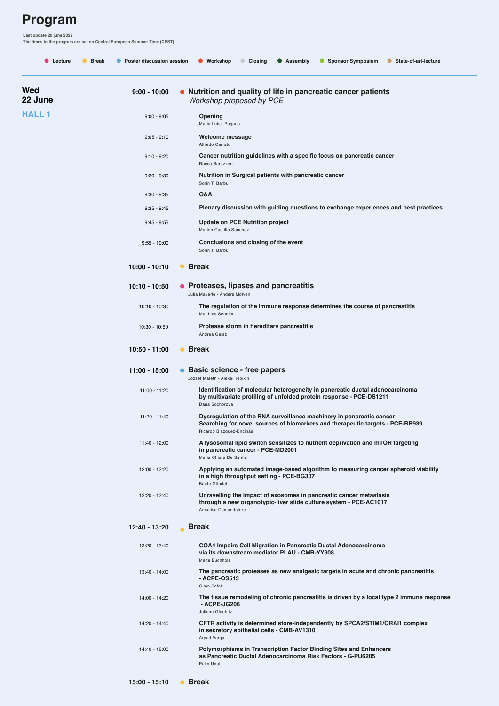## **Program**

**Last update 20 june 2022**

**The times in the program are set on Central European Summer Time (CEST)**

| <b>Lecture</b><br><b>Break</b> | Poster discussion session | <b>Sponsor Symposium</b><br>● Workshop<br>Closing<br>Assembly<br>State-of-art-lecture<br>$\bullet$<br>$\bullet$                                                                    |
|--------------------------------|---------------------------|------------------------------------------------------------------------------------------------------------------------------------------------------------------------------------|
| Wed<br>22 June                 | $9:00 - 10:00$            | . Nutrition and quality of life in pancreatic cancer patients<br>Workshop proposed by PCE                                                                                          |
| HALL 1                         | $9:00 - 9:05$             | Opening<br>Maria Luisa Pagano                                                                                                                                                      |
|                                | $9:05 - 9:10$             | Welcome message<br>Alfredo Carrato                                                                                                                                                 |
|                                | $9:10 - 9:20$             | Cancer nutrition guidelines with a specific focus on pancreatic cancer<br>Rocco Barazzoni                                                                                          |
|                                | $9:20 - 9:30$             | Nutrition in Surgical patients with pancreatic cancer<br>Sorin T. Barbu                                                                                                            |
|                                | $9:30 - 9:35$             | Q&A                                                                                                                                                                                |
|                                | $9:35 - 9:45$             | Plenary discussion with guiding questions to exchange experiences and best practices                                                                                               |
|                                | $9:45 - 9:55$             | <b>Update on PCE Nutrition project</b><br>Marien Castillo Sanchez                                                                                                                  |
|                                | $9:55 - 10:00$            | Conclusions and closing of the event<br>Sorin T. Barbu                                                                                                                             |
|                                | $10:00 - 10:10$           | $\bullet$ Break                                                                                                                                                                    |
|                                | 10:10 - 10:50             | • Proteases, lipases and pancreatitis<br>Julia Mayerle - Anders Molven                                                                                                             |
|                                | $10:10 - 10:30$           | The regulation of the immune response determines the course of pancreatitis<br>Matthias Sendler                                                                                    |
|                                | 10:30 - 10:50             | Protease storm in hereditary pancreatitis<br>Andrea Geisz                                                                                                                          |
|                                | $10:50 - 11:00$           | • Break                                                                                                                                                                            |
|                                | $11:00 - 15:00$           | • Basic science - free papers<br>Jozsef Maleth - Alexei Tepikin                                                                                                                    |
|                                | 11:00 - 11:20             | Identification of molecular heterogeneity in pancreatic ductal adenocarcinoma<br>by multivariate profiling of unfolded protein response - PCE-DS1211<br>Dana Sochorova             |
|                                | 11:20 - 11:40             | Dysregulation of the RNA surveillance machinery in pancreatic cancer:<br>Searching for novel sources of biomarkers and therapeutic targets - PCE-RB939<br>Ricardo Blazquez-Encinas |
|                                | 11:40 - 12:00             | A lysosomal lipid switch sensitizes to nutrient deprivation and mTOR targeting<br>in pancreatic cancer - PCE-MD2001<br>Maria Chiara De Santis                                      |
|                                | 12:00 - 12:20             | Applying an automated image-based algorithm to measuring cancer spheroid viability<br>in a high throughput setting - PCE-BG307<br>Beate Gündel                                     |
|                                | 12:20 - 12:40             | Unravelling the impact of exosomes in pancreatic cancer metastasis<br>through a new organotypic-liver slide culture system - PCE-AC1017<br>Annalisa Comandatore                    |
|                                | 12:40 - 13:20             | <b>Break</b>                                                                                                                                                                       |
|                                | 13:20 - 13:40             | <b>COA4 Impairs Cell Migration in Pancreatic Ductal Adenocarcinoma</b><br>via its downstream mediator PLAU - CMB-YY908<br>Malte Buchholz                                           |
|                                | 13:40 - 14:00             | The pancreatic proteases as new analgesic targets in acute and chronic pancreatitis<br>- ACPE-OS513<br>Okan Safak                                                                  |
|                                | 14:00 - 14:20             | The tissue remodeling of chronic pancreatitis is driven by a local type 2 immune response<br>- ACPE-JG206<br>Juliane Glaubitz                                                      |
|                                | 14:20 - 14:40             | CFTR activity is determined store-independently by SPCA2/STIM1/ORAI1 complex<br>in secretory epithelial cells - CMB-AV1310<br>Arpad Varga                                          |
|                                | 14:40 - 15:00             | <b>Polymorphisms in Transcription Factor Binding Sites and Enhancers</b><br>as Pancreatic Ductal Adenocarcinoma Risk Factors - G-PU6205<br>Pelin Unal                              |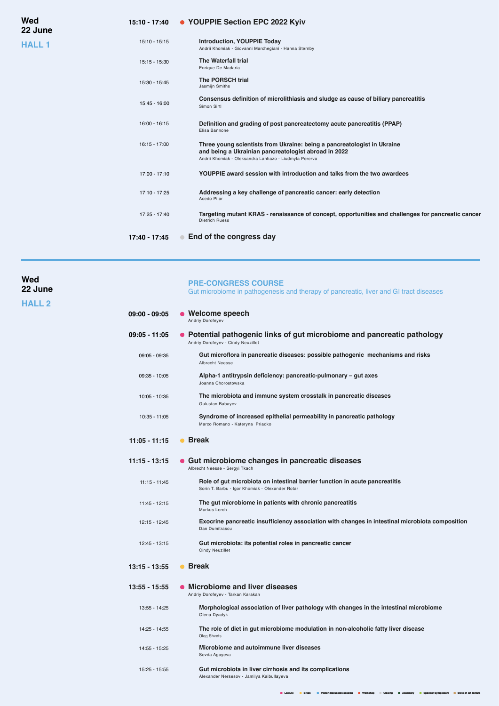**22 June Wed**

**HALL 1**

## **YOUPPIE Section EPC 2022 Kyiv 15:10 - 17:40**

| 17:40 - 17:45   | End of the congress day                                                                                                                                                                   |
|-----------------|-------------------------------------------------------------------------------------------------------------------------------------------------------------------------------------------|
| $17:25 - 17:40$ | Targeting mutant KRAS - renaissance of concept, opportunities and challenges for pancreatic cancer<br><b>Dietrich Ruess</b>                                                               |
| $17:10 - 17:25$ | Addressing a key challenge of pancreatic cancer: early detection<br>Acedo Pilar                                                                                                           |
| $17:00 - 17:10$ | YOUPPIE award session with introduction and talks from the two awardees                                                                                                                   |
| $16:15 - 17:00$ | Three young scientists from Ukraine: being a pancreatologist in Ukraine<br>and being a Ukrainian pancreatologist abroad in 2022<br>Andrii Khomiak - Oleksandra Lanhazo - Liudmyla Pererva |
| $16:00 - 16:15$ | Definition and grading of post pancreatectomy acute pancreatitis (PPAP)<br>Elisa Bannone                                                                                                  |
| $15:45 - 16:00$ | Consensus definition of microlithiasis and sludge as cause of biliary pancreatitis<br>Simon Sirtl                                                                                         |
| 15:30 - 15:45   | The PORSCH trial<br>Jasmijn Smiths                                                                                                                                                        |
| $15:15 - 15:30$ | The Waterfall trial<br>Enrique De Madaria                                                                                                                                                 |
| $15:10 - 15:15$ | <b>Introduction, YOUPPIE Today</b><br>Andrii Khomiak - Giovanni Marchegiani - Hanna Sternby                                                                                               |
|                 |                                                                                                                                                                                           |

**22 June Wed**

|                 | <b>PRE-CONGRESS COURSE</b><br>Gut microbiome in pathogenesis and therapy of pancreatic, liver and GI tract diseases            |
|-----------------|--------------------------------------------------------------------------------------------------------------------------------|
| 09:00 - 09:05   | $\bullet$ Welcome speech<br>Andriy Dorofeyev                                                                                   |
| 09:05 - 11:05   | • Potential pathogenic links of gut microbiome and pancreatic pathology<br>Andriy Dorofeyev - Cindy Neuzillet                  |
| 09:05 - 09:35   | Gut microflora in pancreatic diseases: possible pathogenic mechanisms and risks<br>Albrecht Neesse                             |
| 09:35 - 10:05   | Alpha-1 antitrypsin deficiency: pancreatic-pulmonary – gut axes<br>Joanna Chorostowska                                         |
| 10:05 - 10:35   | The microbiota and immune system crosstalk in pancreatic diseases<br>Gulustan Babayev                                          |
| $10:35 - 11:05$ | Syndrome of increased epithelial permeability in pancreatic pathology<br>Marco Romano - Kateryna Priadko                       |
| $11:05 - 11:15$ | • Break                                                                                                                        |
| 11:15 - 13:15   | • Gut microbiome changes in pancreatic diseases<br>Albrecht Neesse - Sergyi Tkach                                              |
| $11:15 - 11:45$ | Role of gut microbiota on intestinal barrier function in acute pancreatitis<br>Sorin T. Barbu - Igor Khomiak - Olexander Rotar |
| $11:45 - 12:15$ | The gut microbiome in patients with chronic pancreatitis<br>Markus Lerch                                                       |
| $12:15 - 12:45$ | Exocrine pancreatic insufficiency association with changes in intestinal microbiota composition<br>Dan Dumitrascu              |
| 12:45 - 13:15   | Gut microbiota: its potential roles in pancreatic cancer<br><b>Cindy Neuzillet</b>                                             |
| $13:15 - 13:55$ | $\bullet$ Break                                                                                                                |
| 13:55 - 15:55   | • Microbiome and liver diseases<br>Andriy Dorofeyev - Tarkan Karakan                                                           |
| 13:55 - 14:25   | Morphological association of liver pathology with changes in the intestinal microbiome<br>Olena Dyadyk                         |
| 14:25 - 14:55   | The role of diet in gut microbiome modulation in non-alcoholic fatty liver disease<br>Olea Shvets                              |
| 14:55 - 15:25   | Microbiome and autoimmune liver diseases<br>Sevda Agayeva                                                                      |
| 15:25 - 15:55   | Gut microbiota in liver cirrhosis and its complications<br>Alexander Nersesov - Jamilya Kaibullayeva                           |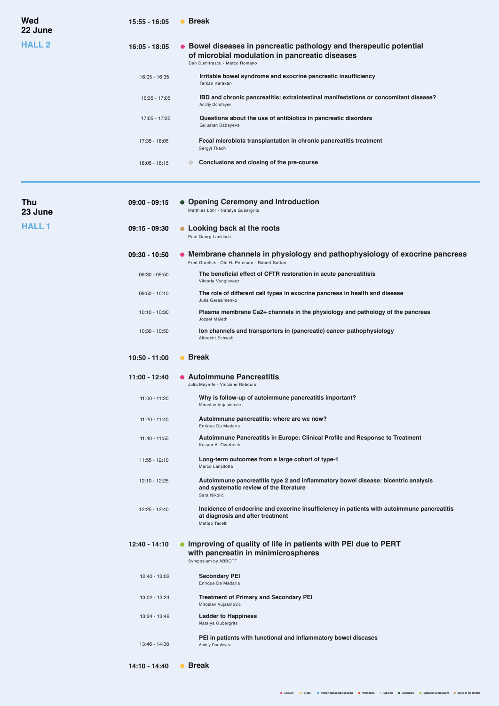| Wed<br>22 June | 15:55 - 16:05   | • Break                                                                                                                                               |
|----------------|-----------------|-------------------------------------------------------------------------------------------------------------------------------------------------------|
| HALL 2         | $16:05 - 18:05$ | • Bowel diseases in pancreatic pathology and therapeutic potential<br>of microbial modulation in pancreatic diseases<br>Dan Dumitrascu - Marco Romano |
|                | 16:05 - 16:35   | Irritable bowel syndrome and exocrine pancreatic insufficiency<br>Tarkan Karakan                                                                      |
|                | 16:35 - 17:05   | IBD and chronic pancreatitis: extraintestinal manifestations or concomitant disease?<br>Andriy Dorofeyev                                              |
|                | 17:05 - 17:35   | Questions about the use of antibiotics in pancreatic disorders<br>Gulustan Babayeva                                                                   |
|                | 17:35 - 18:05   | Fecal microbiota transplantation in chronic pancreatitis treatment<br>Sergyi Tkach                                                                    |
|                | $18:05 - 18:15$ | Conclusions and closing of the pre-course                                                                                                             |
| Thu<br>23 June | $09:00 - 09:15$ | • Opening Ceremony and Introduction<br>Matthias Löhr - Natalya Gubergrits                                                                             |
| HALL 1         | $09:15 - 09:30$ | • Looking back at the roots<br>Paul Georg Lankisch                                                                                                    |
|                | 09:30 - 10:50   | Membrane channels in physiology and pathophysiology of exocrine pancreas<br>Fred Gorelick - Ole H. Petersen - Robert Sutton                           |
|                | $09:30 - 09:50$ | The beneficial effect of CFTR restoration in acute pancreatitisis<br>Viktoria Venglovecz                                                              |
|                | $09:50 - 10:10$ | The role of different cell types in exocrine pancreas in health and disease<br>Julia Gerasimenko                                                      |
|                | $10:10 - 10:30$ | Plasma membrane Ca2+ channels in the physiology and pathology of the pancreas<br>Jozsef Maleth                                                        |
|                | $10:30 - 10:50$ | lon channels and transporters in (pancreatic) cancer pathophysiology<br>Albrecht Schwab                                                               |
|                | $10:50 - 11:00$ | • Break                                                                                                                                               |
|                | 11:00 - 12:40   | • Autoimmune Pancreatitis<br>Julia Mayerle - Vinciane Rebours                                                                                         |
|                | 11:00 - 11:20   | Why is follow-up of autoimmune pancreatitis important?<br>Miroslav Vujasinovic                                                                        |
|                | 11:20 - 11:40   | Autoimmune pancreatitis: where are we now?<br>Enrique De Madaria                                                                                      |
|                | 11:40 - 11:55   | Autoimmune Pancreatitis in Europe: Clinical Profile and Response to Treatment<br>Kasper A. Overbeek                                                   |
|                | $11:55 - 12:10$ | Long-term outcomes from a large cohort of type-1<br>Marco Lanzilotta                                                                                  |
|                | 12:10 - 12:25   | Autoimmune pancreatitis type 2 and inflammatory bowel disease: bicentric analysis<br>and systematic review of the literature<br>Sara Nikolic          |
|                | 12:25 - 12:40   | Incidence of endocrine and exocrine insufficiency in patients with autoimmune pancreatitis<br>at diagnosis and after treatment<br>Matteo Tacelli      |
|                | 12:40 - 14:10   | Improving of quality of life in patients with PEI due to PERT<br>with pancreatin in minimicrospheres<br>Symposium by ABBOTT                           |
|                | 12:40 - 13:02   | <b>Secondary PEI</b><br>Enrique De Madaria                                                                                                            |
|                | 13:02 - 13:24   | <b>Treatment of Primary and Secondary PEI</b><br>Miroslav Vujasinovic                                                                                 |
|                | 13:24 - 13:46   | Ladder to Happiness<br>Natalya Gubergrits                                                                                                             |
|                | 13:46 - 14:08   | PEI in patients with functional and inflammatory bowel diseases<br>Andriy Dorofeyev                                                                   |
|                | 14:10 - 14:40   | <b>Break</b>                                                                                                                                          |

**Lecture Break Poster discussion session Workshop Closing Assembly Sponsor Symposium State-of-art-lecture**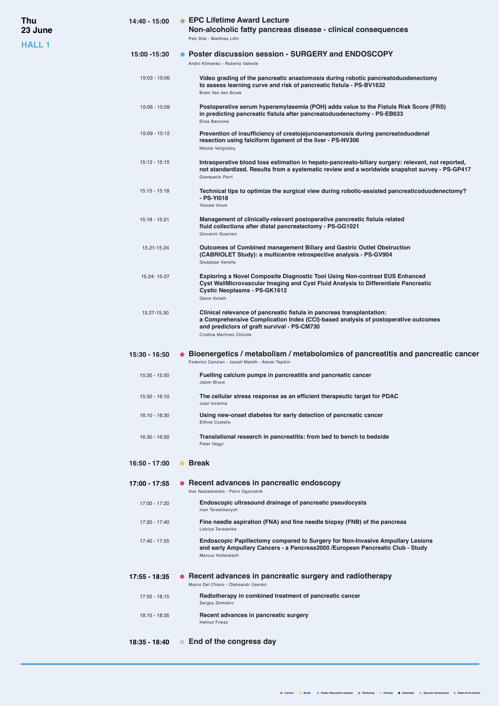**23 June Thu**

| 14:40 - 15:00   | <b>EPC Lifetime Award Lecture</b><br>Non-alcoholic fatty pancreas disease - clinical consequences<br>Petr Dite - Matthias Löhr                                                                                                         |
|-----------------|----------------------------------------------------------------------------------------------------------------------------------------------------------------------------------------------------------------------------------------|
| 15:00 -15:30    | Poster discussion session - SURGERY and ENDOSCOPY<br>Andrii Klimenko - Roberto Valente                                                                                                                                                 |
| 15:03 - 15:06   | Video grading of the pancreatic anastomosis during robotic pancreatoduodenectomy<br>to assess learning curve and risk of pancreatic fistula - PS-BV1632<br>Bram Van den Broek                                                          |
| 15:06 - 15:09   | Postoperative serum hyperamylasemia (POH) adds value to the Fistula Risk Score (FRS)<br>in predicting pancreatic fistula after pancreatoduodenectomy - PS-EB633<br>Elisa Bannone                                                       |
| 15:09 - 15:12   | Prevention of insufficiency of creatojejunoanastomosis during pancreatoduodenal<br>resection using falciform ligament of the liver - PS-NV306<br>Nikolai Veligotsky                                                                    |
| 15:12 - 15:15   | Intraoperative blood loss estimation in hepato-pancreato-biliary surgery: relevant, not reported,<br>not standardized. Results from a systematic review and a worldwide snapshot survey - PS-GP417<br>Giampaolo Perri                  |
| $15:15 - 15:18$ | Technical tips to optimize the surgical view during robotic-assisted pancreaticoduodenectomy?<br>$-$ PS-YI018<br>Yosuke Inoue                                                                                                          |
| 15:18 - 15:21   | Management of clinically-relevant postoperative pancreatic fistula related<br>fluid collections after distal pancreatectomy - PS-GG1021<br>Giovanni Guarneri                                                                           |
| 15.21-15.24     | <b>Outcomes of Combined management Biliary and Gastric Outlet Obstruction</b><br>(CABRIOLET Study): a multicentre retrospective analysis - PS-GV904<br>Giuseppe Vanella                                                                |
| 15.24-15-27     | <b>Exploring a Novel Composite Diagnostic Tool Using Non-contrast EUS Enhanced</b><br>Cyst WallMicrovascular Imaging and Cyst Fluid Analysis to Differentiate Pancreatic<br>Cystic Neoplasms - PS-GK1612<br>Glenn Koleth               |
| 15.27-15.30     | Clinical relevance of pancreatic fistula in pancreas transplantation:<br>a Comprehensive Complication Index (CCI)-based analysis of postoperative outcomes<br>and predictors of graft survival - PS-CM730<br>Cristina Martinez Chicote |
| 15:30 - 16:50   | Bioenergetics / metabolism / metabolomics of pancreatitis and pancreatic cancer<br>Federico Canzian - Jozsef Maleth - Alexei Tepikin                                                                                                   |
| 15:30 - 15:50   | Fuelling calcium pumps in pancreatitis and pancreatic cancer<br>Jason bruce                                                                                                                                                            |
| $15:50 - 16:10$ | The cellular stress response as an efficient therapeutic target for PDAC<br>Juan lovanna                                                                                                                                               |
| $16:10 - 16:30$ | Using new-onset diabetes for early detection of pancreatic cancer<br>Eithne Costello                                                                                                                                                   |
| 16:30 - 16:50   | Translational research in pancreatitis: from bed to bench to bedside<br>Peter Hegyi                                                                                                                                                    |
| $16:50 - 17:00$ | • Break                                                                                                                                                                                                                                |
| 17:00 - 17:55   | Recent advances in pancreatic endoscopy<br>$\bullet$<br>Ihor Nastashenko - Petro Ogorodnik                                                                                                                                             |
| 17:00 - 17:20   | Endoscopic ultrasound drainage of pancreatic pseudocysts<br>Ivan Tereshkevych                                                                                                                                                          |
| 17:20 - 17:40   | Fine needle aspiration (FNA) and fine needle biopsy (FNB) of the pancreas<br>Lidziya Tarasenka                                                                                                                                         |
| 17:40 - 17:55   | <b>Endoscopic Papillectomy compared to Surgery for Non-Invasive Ampullary Lesions</b><br>and early Ampullary Cancers - a Pancreas2000 /European Pancreatic Club - Study<br>Marcus Hollenbach                                           |
| 17:55 - 18:35   | • Recent advances in pancreatic surgery and radiotherapy<br>Marco Del Chiaro - Oleksandr Usenko                                                                                                                                        |
| $17:55 - 18:15$ | Radiotherapy in combined treatment of pancreatic cancer<br>Sergey Zemskov                                                                                                                                                              |
| $18:15 - 18:35$ | Recent advances in pancreatic surgery<br><b>Helmut Friess</b>                                                                                                                                                                          |
| 18:35 - 18:40   | End of the congress day<br>$\bullet$                                                                                                                                                                                                   |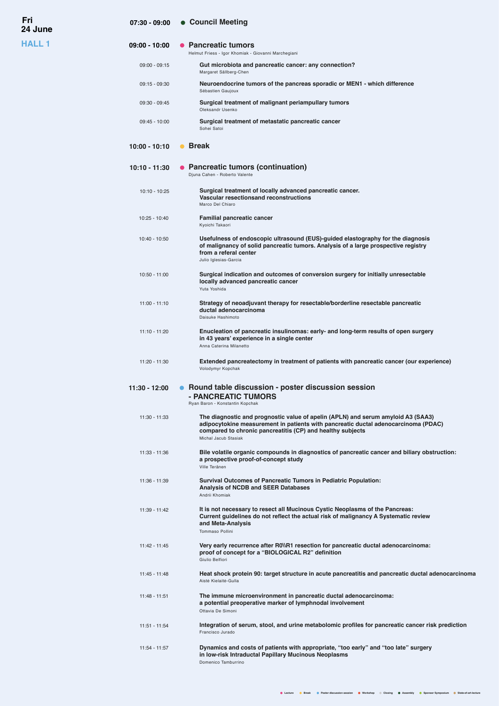**24 June Fri**

| $07:30 - 09:00$ | • Council Meeting                                                                                                                                                                                                                                            |
|-----------------|--------------------------------------------------------------------------------------------------------------------------------------------------------------------------------------------------------------------------------------------------------------|
| $09:00 - 10:00$ | <b>Pancreatic tumors</b><br>Helmut Friess - Igor Khomiak - Giovanni Marchegiani                                                                                                                                                                              |
| $09:00 - 09:15$ | Gut microbiota and pancreatic cancer: any connection?<br>Margaret Sällberg-Chen                                                                                                                                                                              |
| $09:15 - 09:30$ | Neuroendocrine tumors of the pancreas sporadic or MEN1 - which difference<br>Sébastien Gaujoux                                                                                                                                                               |
| $09:30 - 09:45$ | Surgical treatment of malignant periampullary tumors<br>Oleksandr Usenko                                                                                                                                                                                     |
| $09:45 - 10:00$ | Surgical treatment of metastatic pancreatic cancer<br>Sohei Satoi                                                                                                                                                                                            |
| $10:00 - 10:10$ | $\bullet$ Break                                                                                                                                                                                                                                              |
| $10:10 - 11:30$ | • Pancreatic tumors (continuation)<br>Diuna Cahen - Roberto Valente                                                                                                                                                                                          |
| $10:10 - 10:25$ | Surgical treatment of locally advanced pancreatic cancer.<br>Vascular resectionsand reconstructions<br>Marco Del Chiaro                                                                                                                                      |
| $10:25 - 10:40$ | <b>Familial pancreatic cancer</b><br>Kyoichi Takaori                                                                                                                                                                                                         |
| $10:40 - 10:50$ | Usefulness of endoscopic ultrasound (EUS)-guided elastography for the diagnosis<br>of malignancy of solid pancreatic tumors. Analysis of a large prospective registry<br>from a referal center<br>Julio Iglesias-Garcia                                      |
| $10:50 - 11:00$ | Surgical indication and outcomes of conversion surgery for initially unresectable<br>locally advanced pancreatic cancer<br>Yuta Yoshida                                                                                                                      |
| $11:00 - 11:10$ | Strategy of neoadjuvant therapy for resectable/borderline resectable pancreatic<br>ductal adenocarcinoma<br>Daisuke Hashimoto                                                                                                                                |
| $11:10 - 11:20$ | Enucleation of pancreatic insulinomas: early- and long-term results of open surgery<br>in 43 years' experience in a single center<br>Anna Caterina Milanetto                                                                                                 |
| $11:20 - 11:30$ | Extended pancreatectomy in treatment of patients with pancreatic cancer (our experience)<br>Volodymyr Kopchak                                                                                                                                                |
| 11:30 - 12:00   | • Round table discussion - poster discussion session<br>- PANCREATIC TUMORS<br>Ryan Baron - Konstantin Kopchak                                                                                                                                               |
| $11:30 - 11:33$ | The diagnostic and prognostic value of apelin (APLN) and serum amyloid A3 (SAA3)<br>adipocytokine measurement in patients with pancreatic ductal adenocarcinoma (PDAC)<br>compared to chronic pancreatitis (CP) and healthy subjects<br>Michal Jacub Stasiak |
| $11:33 - 11:36$ | Bile volatile organic compounds in diagnostics of pancreatic cancer and biliary obstruction:<br>a prospective proof-of-concept study<br>Ville Teränen                                                                                                        |
| 11:36 - 11:39   | <b>Survival Outcomes of Pancreatic Tumors in Pediatric Population:</b><br>Analysis of NCDB and SEER Databases<br>Andrii Khomiak                                                                                                                              |
| 11:39 - 11:42   | It is not necessary to resect all Mucinous Cystic Neoplasms of the Pancreas:<br>Current guidelines do not reflect the actual risk of malignancy A Systematic review<br>and Meta-Analysis<br>Tommaso Pollini                                                  |
| $11:42 - 11:45$ | Very early recurrence after R0\\R1 resection for pancreatic ductal adenocarcinoma:<br>proof of concept for a "BIOLOGICAL R2" definition<br>Giulio Belfiori                                                                                                   |
| $11:45 - 11:48$ | Heat shock protein 90: target structure in acute pancreatitis and pancreatic ductal adenocarcinoma<br>Aistė Kielaitė-Gulla                                                                                                                                   |
| 11:48 - 11:51   | The immune microenvironment in pancreatic ductal adenocarcinoma:<br>a potential preoperative marker of lymphnodal involvement<br>Ottavia De Simoni                                                                                                           |
| $11:51 - 11:54$ | Integration of serum, stool, and urine metabolomic profiles for pancreatic cancer risk prediction<br>Francisco Jurado                                                                                                                                        |
| $11:54 - 11:57$ | Dynamics and costs of patients with appropriate, "too early" and "too late" surgery<br>in Iow-risk Intraductal Papillary Mucinous Neoplasms                                                                                                                  |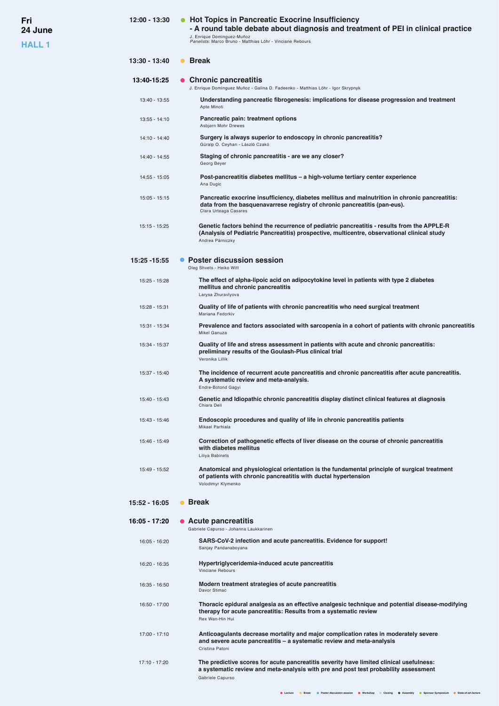## **HALL 1**

| 13:30 - 13:40   | $\bullet$ Break                                                                                                                                                                                               |
|-----------------|---------------------------------------------------------------------------------------------------------------------------------------------------------------------------------------------------------------|
| 13:40-15:25     | • Chronic pancreatitis<br>J. Enrique Domínguez Muñoz - Galina D. Fadeenko - Matthias Löhr - Igor Skrypnyk                                                                                                     |
| 13:40 - 13:55   | Understanding pancreatic fibrogenesis: implications for disease progression and treatment<br>Apte Minoti                                                                                                      |
| $13:55 - 14:10$ | Pancreatic pain: treatment options<br>Asbjørn Mohr Drewes                                                                                                                                                     |
| 14:10 - 14:40   | Surgery is always superior to endoscopy in chronic pancreatitis?<br>Güralp O. Ceyhan - László Czakó                                                                                                           |
| 14:40 - 14:55   | Staging of chronic pancreatitis - are we any closer?<br>Georg Beyer                                                                                                                                           |
| 14:55 - 15:05   | Post-pancreatitis diabetes mellitus – a high-volume tertiary center experience<br>Ana Dugic                                                                                                                   |
| $15:05 - 15:15$ | Pancreatic exocrine insufficiency, diabetes mellitus and malnutrition in chronic pancreatitis:<br>data from the basquenavarrese registry of chronic pancreatitis (pan-eus).<br>Clara Urteaga Casares          |
| $15:15 - 15:25$ | Genetic factors behind the recurrence of pediatric pancreatitis - results from the APPLE-R<br>(Analysis of Pediatric Pancreatitis) prospective, multicentre, observational clinical study<br>Andrea Párniczky |
| 15:25 - 15:55   | <b>Poster discussion session</b><br>Oleg Shvets - Heiko Witt                                                                                                                                                  |
| 15:25 - 15:28   | The effect of alpha-lipoic acid on adipocytokine level in patients with type 2 diabetes<br>mellitus and chronic pancreatitis<br>Larysa Zhuravlyova                                                            |
| 15:28 - 15:31   | Quality of life of patients with chronic pancreatitis who need surgical treatment<br>Mariana Fedorkiv                                                                                                         |
| 15:31 - 15:34   | Prevalence and factors associated with sarcopenia in a cohort of patients with chronic pancreatitis<br>Mikel Ganuza                                                                                           |
| 15:34 - 15:37   | Quality of life and stress assessment in patients with acute and chronic pancreatitis:<br>preliminary results of the Goulash-Plus clinical trial<br>Veronika Lillik                                           |
| 15:37 - 15:40   | The incidence of recurrent acute pancreatitis and chronic pancreatitis after acute pancreatitis.<br>A systematic review and meta-analysis.<br>Endre-Botond Gagyi                                              |
| 15:40 - 15:43   | Genetic and Idiopathic chronic pancreatitis display distinct clinical features at diagnosis<br>Chiara Deli                                                                                                    |
| 15:43 - 15:46   | Endoscopic procedures and quality of life in chronic pancreatitis patients<br>Mikael Parhiala                                                                                                                 |
| 15:46 - 15:49   | Correction of pathogenetic effects of liver disease on the course of chronic pancreatitis<br>with diabetes mellitus<br>Liliya Babinets                                                                        |
| 15:49 - 15:52   | Anatomical and physiological orientation is the fundamental principle of surgical treatment<br>of patients with chronic pancreatitis with ductal hypertension<br>Volodimyr Klymenko                           |
| 15:52 - 16:05   | • Break                                                                                                                                                                                                       |
| 16:05 - 17:20   | • Acute pancreatitis<br>Gabriele Capurso - Johanna Laukkarinen                                                                                                                                                |
| 16:05 - 16:20   | SARS-CoV-2 infection and acute pancreatitis. Evidence for support!<br>Sanjay Pandanaboyana                                                                                                                    |
| 16:20 - 16:35   | Hypertriglyceridemia-induced acute pancreatitis<br>Vinciane Rebours                                                                                                                                           |
| 16:35 - 16:50   | Modern treatment strategies of acute pancreatitis<br>Davor Stimac                                                                                                                                             |
| 16:50 - 17:00   | Thoracic epidural analgesia as an effective analgesic technique and potential disease-modifying<br>therapy for acute pancreatitis: Results from a systematic review<br>Rex Wan-Hin Hui                        |
| 17:00 - 17:10   | Anticoagulants decrease mortality and major complication rates in moderately severe<br>and severe acute pancreatitis - a systematic review and meta-analysis<br>Cristina Patoni                               |

**The predictive scores for acute pancreatitis severity have limited clinical usefulness: a systematic review and meta-analysis with pre and post test probability assessment** 17:10 - 17:20 Gabriele Capurso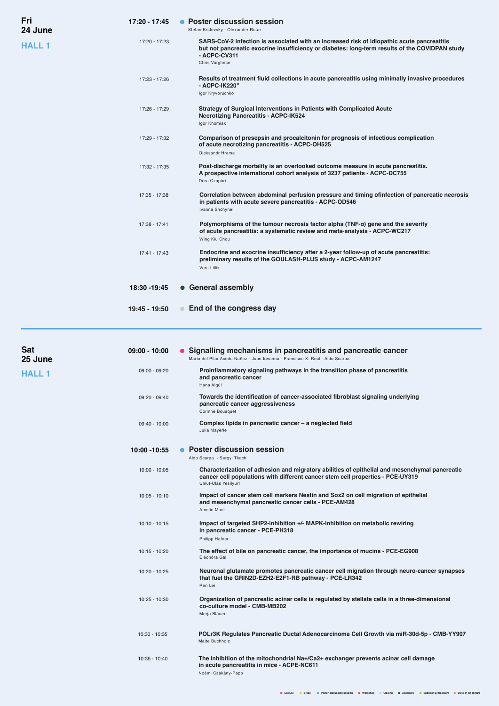| Fri            | 17:20 - 17:45   | • Poster discussion session                                                                                                                                                                                                    |
|----------------|-----------------|--------------------------------------------------------------------------------------------------------------------------------------------------------------------------------------------------------------------------------|
| 24 June        |                 | Stefan Krstevsky - Olexander Rotar                                                                                                                                                                                             |
| <b>HALL 1</b>  | 17:20 - 17:23   | SARS-CoV-2 infection is associated with an increased risk of idiopathic acute pancreatitis<br>but not pancreatic exocrine insufficiency or diabetes: long-term results of the COVIDPAN study<br>- ACPC-CV311<br>Chris Varghese |
|                | 17:23 - 17:26   | Results of treatment fluid collections in acute pancreatitis using minimally invasive procedures<br>- ACPC-IK220"<br>Igor Kryvoruchko                                                                                          |
|                | 17:26 - 17:29   | Strategy of Surgical Interventions in Patients with Complicated Acute<br><b>Necrotizing Pancreatitis - ACPC-IK524</b><br>Igor Khomiak                                                                                          |
|                | 17:29 - 17:32   | Comparison of presepsin and procalcitonin for prognosis of infectious complication<br>of acute necrotizing pancreatitis - ACPC-OH525<br>Oleksandr Hrama                                                                        |
|                | 17:32 - 17:35   | Post-discharge mortality is an overlooked outcome measure in acute pancreatitis.<br>A prospective international cohort analysis of 3237 patients - ACPC-DC755<br>Dóra Czapári                                                  |
|                | 17:35 - 17:38   | Correlation between abdominal perfusion pressure and timing of infection of pancreatic necrosis<br>in patients with acute severe pancreatitis - ACPC-OD546<br>Ivanna Shchyhel                                                  |
|                | 17:38 - 17:41   | Polymorphisms of the tumour necrosis factor alpha (TNF-a) gene and the severity<br>of acute pancreatitis: a systematic review and meta-analysis - ACPC-WC217<br>Wing Kiu Chou                                                  |
|                | 17:41 - 17:43   | Endocrine and exocrine insufficiency after a 2-year follow-up of acute pancreatitis:<br>preliminary results of the GOULASH-PLUS study - ACPC-AM1247<br>Vera Lillik                                                             |
|                | 18:30 - 19:45   | • General assembly                                                                                                                                                                                                             |
|                | 19:45 - 19:50   | • End of the congress day                                                                                                                                                                                                      |
|                |                 |                                                                                                                                                                                                                                |
| Sat<br>25 June | $09:00 - 10:00$ | • Signalling mechanisms in pancreatitis and pancreatic cancer<br>Maria del Pilar Acedo Nuñez - Juan Iovanna - Francisco X. Real - Aldo Scarpa                                                                                  |
| HALL 1         | 09:00 - 09:20   | Proinflammatory signaling pathways in the transition phase of pancreatitis<br>and pancreatic cancer<br>Hana Algül                                                                                                              |
|                | 09:20 - 09:40   | Towards the identification of cancer-associated fibroblast signaling underlying<br>pancreatic cancer aggressiveness<br>Corinne Bousquet                                                                                        |
|                | 09:40 - 10:00   | Complex lipids in pancreatic cancer – a neglected field<br>Julia Mayerle                                                                                                                                                       |
|                | 10:00 -10:55    | • Poster discussion session<br>Aldo Scarpa - Sergyi Tkach                                                                                                                                                                      |
|                | $10:00 - 10:05$ | Characterization of adhesion and migratory abilities of epithelial and mesenchymal pancreatic<br>cancer cell populations with different cancer stem cell properties - PCE-UY319<br>Umut-Ulas Yesilyurt                         |
|                | $10:05 - 10:10$ | Impact of cancer stem cell markers Nestin and Sox2 on cell migration of epithelial<br>and mesenchymal pancreatic cancer cells - PCE-AM428<br>Amelie Modi                                                                       |
|                | $10:10 - 10:15$ | Impact of targeted SHP2-inhibition +/- MAPK-Inhibition on metabolic rewiring<br>in pancreatic cancer - PCE-PH318<br>Philipp Hafner                                                                                             |
|                | $10:15 - 10:20$ | The effect of bile on pancreatic cancer, the importance of mucins - PCE-EG908<br>Eleonóra Gál                                                                                                                                  |
|                | 10:20 - 10:25   | Neuronal glutamate promotes pancreatic cancer cell migration through neuro-cancer synapses<br>that fuel the GRIN2D-EZH2-E2F1-RB pathway - PCE-LR342<br>Ren Lei                                                                 |
|                | $10:25 - 10:30$ | Organization of pancreatic acinar cells is regulated by stellate cells in a three-dimensional<br>co-culture model - CMB-MB202<br>Merja Bläuer                                                                                  |
|                | 10:30 - 10:35   | POLr3K Regulates Pancreatic Ductal Adenocarcinoma Cell Growth via miR-30d-5p - CMB-YY907<br>Malte Buchholz                                                                                                                     |
|                | $10:35 - 10:40$ | The inhibition of the mitochondrial Na+/Ca2+ exchanger prevents acinar cell damage<br>in acute pancreatitis in mice - ACPE-NC611<br>Noémi Csákány-Papp                                                                         |